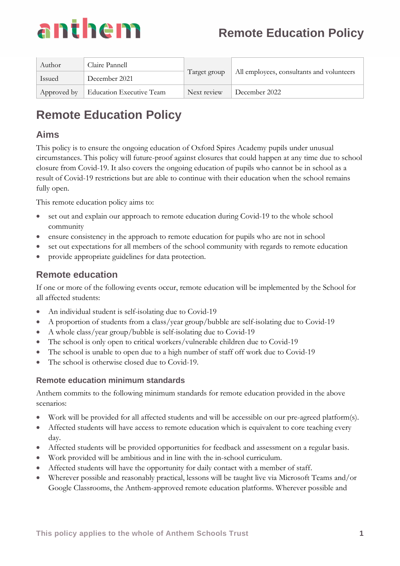

| Author      | Claire Pannell                  | Target group | All employees, consultants and volunteers |
|-------------|---------------------------------|--------------|-------------------------------------------|
| Issued      | December 2021                   |              |                                           |
| Approved by | <b>Education Executive Team</b> | Next review  | December 2022                             |

### **Aims**

This policy is to ensure the ongoing education of Oxford Spires Academy pupils under unusual circumstances. This policy will future-proof against closures that could happen at any time due to school closure from Covid-19. It also covers the ongoing education of pupils who cannot be in school as a result of Covid-19 restrictions but are able to continue with their education when the school remains fully open.

This remote education policy aims to:

- set out and explain our approach to remote education during Covid-19 to the whole school community
- ensure consistency in the approach to remote education for pupils who are not in school
- set out expectations for all members of the school community with regards to remote education
- provide appropriate guidelines for data protection.

## **Remote education**

If one or more of the following events occur, remote education will be implemented by the School for all affected students:

- An individual student is self-isolating due to Covid-19
- A proportion of students from a class/year group/bubble are self-isolating due to Covid-19
- A whole class/year group/bubble is self-isolating due to Covid-19
- The school is only open to critical workers/vulnerable children due to Covid-19
- The school is unable to open due to a high number of staff off work due to Covid-19
- The school is otherwise closed due to Covid-19.

#### **Remote education minimum standards**

Anthem commits to the following minimum standards for remote education provided in the above scenarios:

- Work will be provided for all affected students and will be accessible on our pre-agreed platform(s).
- Affected students will have access to remote education which is equivalent to core teaching every day.
- Affected students will be provided opportunities for feedback and assessment on a regular basis.
- Work provided will be ambitious and in line with the in-school curriculum.
- Affected students will have the opportunity for daily contact with a member of staff.
- Wherever possible and reasonably practical, lessons will be taught live via Microsoft Teams and/or Google Classrooms, the Anthem-approved remote education platforms. Wherever possible and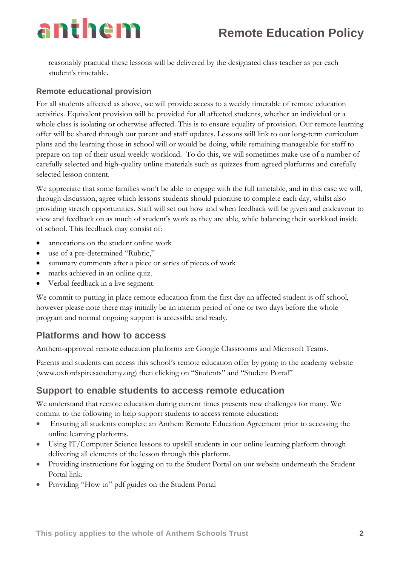reasonably practical these lessons will be delivered by the designated class teacher as per each student's timetable.

#### **Remote educational provision**

For all students affected as above, we will provide access to a weekly timetable of remote education activities. Equivalent provision will be provided for all affected students, whether an individual or a whole class is isolating or otherwise affected. This is to ensure equality of provision. Our remote learning offer will be shared through our parent and staff updates. Lessons will link to our long-term curriculum plans and the learning those in school will or would be doing, while remaining manageable for staff to prepare on top of their usual weekly workload. To do this, we will sometimes make use of a number of carefully selected and high-quality online materials such as quizzes from agreed platforms and carefully selected lesson content.

We appreciate that some families won't be able to engage with the full timetable, and in this case we will, through discussion, agree which lessons students should prioritise to complete each day, whilst also providing stretch opportunities. Staff will set out how and when feedback will be given and endeavour to view and feedback on as much of student's work as they are able, while balancing their workload inside of school. This feedback may consist of:

- annotations on the student online work
- use of a pre-determined "Rubric,"
- summary comments after a piece or series of pieces of work
- marks achieved in an online quiz.
- Verbal feedback in a live segment.

We commit to putting in place remote education from the first day an affected student is off school, however please note there may initially be an interim period of one or two days before the whole program and normal ongoing support is accessible and ready.

### **Platforms and how to access**

Anthem-approved remote education platforms are Google Classrooms and Microsoft Teams.

Parents and students can access this school's remote education offer by going to the academy website [\(www.oxfordspiresacademy.org](http://www.oxfordspiresacademy.org/)) then clicking on "Students" and "Student Portal"

### **Support to enable students to access remote education**

We understand that remote education during current times presents new challenges for many. We commit to the following to help support students to access remote education:

- Ensuring all students complete an Anthem Remote Education Agreement prior to accessing the online learning platforms.
- Using IT/Computer Science lessons to upskill students in our online learning platform through delivering all elements of the lesson through this platform.
- Providing instructions for logging on to the Student Portal on our website underneath the Student Portal link.
- Providing "How to" pdf guides on the Student Portal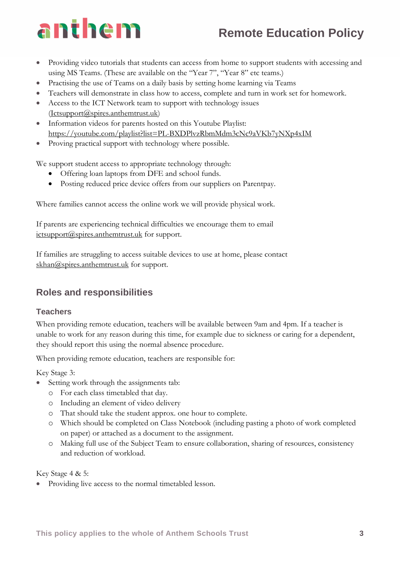# **Remote Education Policy**

- Providing video tutorials that students can access from home to support students with accessing and using MS Teams. (These are available on the "Year 7", "Year 8" etc teams.)
- Practising the use of Teams on a daily basis by setting home learning via Teams
- Teachers will demonstrate in class how to access, complete and turn in work set for homework.
- Access to the ICT Network team to support with technology issues [\(Ictsupport@spires.anthemtrust.uk\)](mailto:Ictsupport@spires.anthemtrust.uk)
- Information videos for parents hosted on this Youtube Playlist: <https://youtube.com/playlist?list=PL-BXDPlvzRbmMdm3cNc9aVKb7yNXp4xIM>
- Proving practical support with technology where possible.

We support student access to appropriate technology through:

- Offering loan laptops from DFE and school funds.
- Posting reduced price device offers from our suppliers on Parentpay.

Where families cannot access the online work we will provide physical work.

If parents are experiencing technical difficulties we encourage them to email [ictsupport@spires.anthemtrust.uk](mailto:ictsupport@spires.anthemtrust.uk) for support.

If families are struggling to access suitable devices to use at home, please contact [skhan@spires.anthemtrust.uk](mailto:skhan@spires.anthemtrust.uk) for support.

### **Roles and responsibilities**

#### **Teachers**

When providing remote education, teachers will be available between 9am and 4pm. If a teacher is unable to work for any reason during this time, for example due to sickness or caring for a dependent, they should report this using the normal absence procedure.

When providing remote education, teachers are responsible for:

Key Stage 3:

- Setting work through the assignments tab:
	- o For each class timetabled that day.
	- o Including an element of video delivery
	- o That should take the student approx. one hour to complete.
	- o Which should be completed on Class Notebook (including pasting a photo of work completed on paper) or attached as a document to the assignment.
	- o Making full use of the Subject Team to ensure collaboration, sharing of resources, consistency and reduction of workload.

Key Stage 4 & 5:

• Providing live access to the normal timetabled lesson.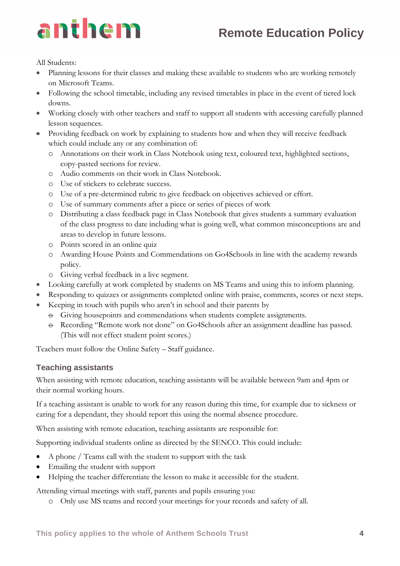

All Students:

- Planning lessons for their classes and making these available to students who are working remotely on Microsoft Teams.
- Following the school timetable, including any revised timetables in place in the event of tiered lock downs.
- Working closely with other teachers and staff to support all students with accessing carefully planned lesson sequences.
- Providing feedback on work by explaining to students how and when they will receive feedback which could include any or any combination of:
	- o Annotations on their work in Class Notebook using text, coloured text, highlighted sections, copy-pasted sections for review.
	- o Audio comments on their work in Class Notebook.
	- o Use of stickers to celebrate success.
	- o Use of a pre-determined rubric to give feedback on objectives achieved or effort.
	- o Use of summary comments after a piece or series of pieces of work
	- o Distributing a class feedback page in Class Notebook that gives students a summary evaluation of the class progress to date including what is going well, what common misconceptions are and areas to develop in future lessons.
	- o Points scored in an online quiz
	- o Awarding House Points and Commendations on Go4Schools in line with the academy rewards policy.
	- o Giving verbal feedback in a live segment.
- Looking carefully at work completed by students on MS Teams and using this to inform planning.
- Responding to quizzes or assignments completed online with praise, comments, scores or next steps.
- Keeping in touch with pupils who aren't in school and their parents by
	- $\Theta$  Giving housepoints and commendations when students complete assignments.
	- $\Theta$  Recording "Remote work not done" on Go4Schools after an assignment deadline has passed. (This will not effect student point scores.)

Teachers must follow the Online Safety – Staff guidance.

#### **Teaching assistants**

When assisting with remote education, teaching assistants will be available between 9am and 4pm or their normal working hours.

If a teaching assistant is unable to work for any reason during this time, for example due to sickness or caring for a dependant, they should report this using the normal absence procedure.

When assisting with remote education, teaching assistants are responsible for:

Supporting individual students online as directed by the SENCO. This could include:

- A phone / Teams call with the student to support with the task
- Emailing the student with support
- Helping the teacher differentiate the lesson to make it accessible for the student.

Attending virtual meetings with staff, parents and pupils ensuring you:

o Only use MS teams and record your meetings for your records and safety of all.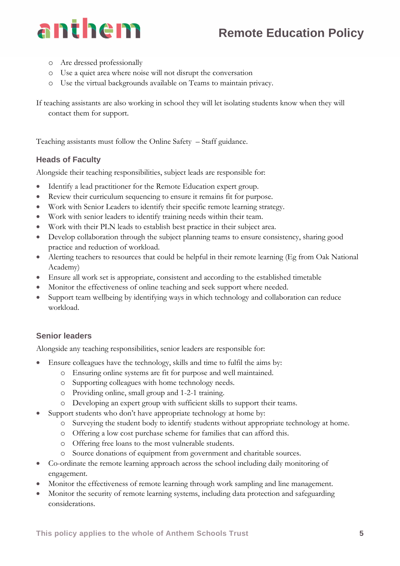

- o Are dressed professionally
- o Use a quiet area where noise will not disrupt the conversation
- o Use the virtual backgrounds available on Teams to maintain privacy.

If teaching assistants are also working in school they will let isolating students know when they will contact them for support.

Teaching assistants must follow the Online Safety – Staff guidance.

#### **Heads of Faculty**

Alongside their teaching responsibilities, subject leads are responsible for:

- Identify a lead practitioner for the Remote Education expert group.
- Review their curriculum sequencing to ensure it remains fit for purpose.
- Work with Senior Leaders to identify their specific remote learning strategy.
- Work with senior leaders to identify training needs within their team.
- Work with their PLN leads to establish best practice in their subject area.
- Develop collaboration through the subject planning teams to ensure consistency, sharing good practice and reduction of workload.
- Alerting teachers to resources that could be helpful in their remote learning (Eg from Oak National Academy)
- Ensure all work set is appropriate, consistent and according to the established timetable
- Monitor the effectiveness of online teaching and seek support where needed.
- Support team wellbeing by identifying ways in which technology and collaboration can reduce workload.

#### **Senior leaders**

Alongside any teaching responsibilities, senior leaders are responsible for:

- Ensure colleagues have the technology, skills and time to fulfil the aims by:
	- o Ensuring online systems are fit for purpose and well maintained.
	- o Supporting colleagues with home technology needs.
	- o Providing online, small group and 1-2-1 training.
	- o Developing an expert group with sufficient skills to support their teams.
- Support students who don't have appropriate technology at home by:
	- o Surveying the student body to identify students without appropriate technology at home.
	- o Offering a low cost purchase scheme for families that can afford this.
	- o Offering free loans to the most vulnerable students.
	- o Source donations of equipment from government and charitable sources.
- Co-ordinate the remote learning approach across the school including daily monitoring of engagement.
- Monitor the effectiveness of remote learning through work sampling and line management.
- Monitor the security of remote learning systems, including data protection and safeguarding considerations.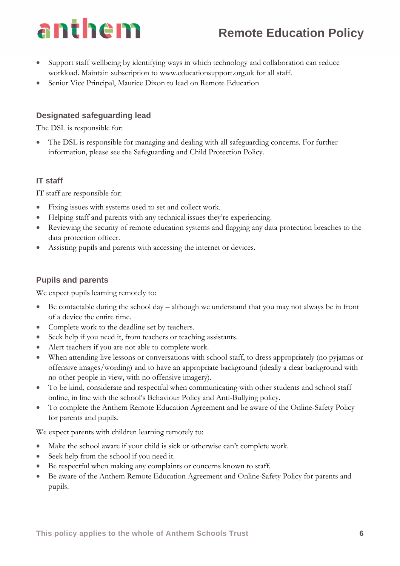# **Remote Education Policy**

- Support staff wellbeing by identifying ways in which technology and collaboration can reduce workload. Maintain subscription to [www.educationsupport.org.uk](http://www.educationsupport.org.uk/) for all staff.
- Senior Vice Principal, Maurice Dixon to lead on Remote Education

#### **Designated safeguarding lead**

The DSL is responsible for:

The DSL is responsible for managing and dealing with all safeguarding concerns. For further information, please see the Safeguarding and Child Protection Policy.

#### **IT staff**

IT staff are responsible for:

- Fixing issues with systems used to set and collect work.
- Helping staff and parents with any technical issues they're experiencing.
- Reviewing the security of remote education systems and flagging any data protection breaches to the data protection officer.
- Assisting pupils and parents with accessing the internet or devices.

#### **Pupils and parents**

We expect pupils learning remotely to:

- Be contactable during the school day although we understand that you may not always be in front of a device the entire time.
- Complete work to the deadline set by teachers.
- Seek help if you need it, from teachers or teaching assistants.
- Alert teachers if you are not able to complete work.
- When attending live lessons or conversations with school staff, to dress appropriately (no pyjamas or offensive images/wording) and to have an appropriate background (ideally a clear background with no other people in view, with no offensive imagery).
- To be kind, considerate and respectful when communicating with other students and school staff online, in line with the school's Behaviour Policy and Anti-Bullying policy.
- To complete the Anthem Remote Education Agreement and be aware of the Online-Safety Policy for parents and pupils.

We expect parents with children learning remotely to:

- Make the school aware if your child is sick or otherwise can't complete work.
- Seek help from the school if you need it.
- Be respectful when making any complaints or concerns known to staff.
- Be aware of the Anthem Remote Education Agreement and Online-Safety Policy for parents and pupils.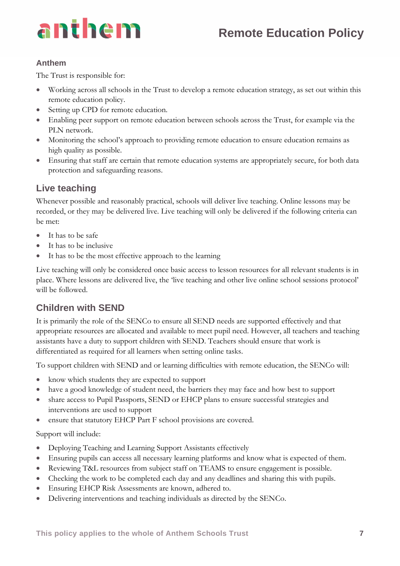

#### **Anthem**

The Trust is responsible for:

- Working across all schools in the Trust to develop a remote education strategy, as set out within this remote education policy.
- Setting up CPD for remote education.
- Enabling peer support on remote education between schools across the Trust, for example via the PLN network.
- Monitoring the school's approach to providing remote education to ensure education remains as high quality as possible.
- Ensuring that staff are certain that remote education systems are appropriately secure, for both data protection and safeguarding reasons.

## **Live teaching**

Whenever possible and reasonably practical, schools will deliver live teaching. Online lessons may be recorded, or they may be delivered live. Live teaching will only be delivered if the following criteria can be met:

- It has to be safe
- It has to be inclusive
- It has to be the most effective approach to the learning

Live teaching will only be considered once basic access to lesson resources for all relevant students is in place. Where lessons are delivered live, the 'live teaching and other live online school sessions protocol' will be followed.

## **Children with SEND**

It is primarily the role of the SENCo to ensure all SEND needs are supported effectively and that appropriate resources are allocated and available to meet pupil need. However, all teachers and teaching assistants have a duty to support children with SEND. Teachers should ensure that work is differentiated as required for all learners when setting online tasks.

To support children with SEND and or learning difficulties with remote education, the SENCo will:

- know which students they are expected to support
- have a good knowledge of student need, the barriers they may face and how best to support
- share access to Pupil Passports, SEND or EHCP plans to ensure successful strategies and interventions are used to support
- ensure that statutory EHCP Part F school provisions are covered.

Support will include:

- Deploying Teaching and Learning Support Assistants effectively
- Ensuring pupils can access all necessary learning platforms and know what is expected of them.
- Reviewing T&L resources from subject staff on TEAMS to ensure engagement is possible.
- Checking the work to be completed each day and any deadlines and sharing this with pupils.
- Ensuring EHCP Risk Assessments are known, adhered to.
- Delivering interventions and teaching individuals as directed by the SENCo.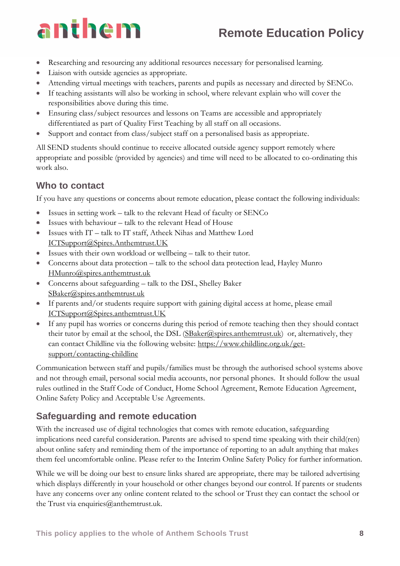# **Remote Education Policy**

- Researching and resourcing any additional resources necessary for personalised learning.
- Liaison with outside agencies as appropriate.
- Attending virtual meetings with teachers, parents and pupils as necessary and directed by SENCo.
- If teaching assistants will also be working in school, where relevant explain who will cover the responsibilities above during this time.
- Ensuring class/subject resources and lessons on Teams are accessible and appropriately differentiated as part of Quality First Teaching by all staff on all occasions.
- Support and contact from class/subject staff on a personalised basis as appropriate.

All SEND students should continue to receive allocated outside agency support remotely where appropriate and possible (provided by agencies) and time will need to be allocated to co-ordinating this work also.

### **Who to contact**

If you have any questions or concerns about remote education, please contact the following individuals:

- Issues in setting work talk to the relevant Head of faculty or SENCo
- Issues with behaviour talk to the relevant Head of House
- Issues with IT talk to IT staff, Atheek Nihas and Matthew Lord [ICTSupport@Spires.Anthemtrust.UK](mailto:ICTSupport@Spires.Anthemtrust.UK)
- Issues with their own workload or wellbeing talk to their tutor.
- Concerns about data protection talk to the school data protection lead, Hayley Munro [HMunro@spires.anthemtrust.uk](mailto:HMunro@spires.anthemtrust.uk)
- Concerns about safeguarding talk to the DSL, Shelley Baker [SBaker@spires.anthemtrust.uk](mailto:SBaker@spires.anthemtrust.uk)
- If parents and/or students require support with gaining digital access at home, please email [ICTSupport@Spires.anthemtrust.UK](mailto:ICTSupport@Spires.anthemtrust.UK)
- If any pupil has worries or concerns during this period of remote teaching then they should contact their tutor by email at the school, the DSL  $(SBaker@spires.annotation.html)$  or, alternatively, they can contact Childline via the following website: [https://www.childline.org.uk/get](https://www.childline.org.uk/get-support/contacting-childline)[support/contacting-childline](https://www.childline.org.uk/get-support/contacting-childline)

Communication between staff and pupils/families must be through the authorised school systems above and not through email, personal social media accounts, nor personal phones. It should follow the usual rules outlined in the Staff Code of Conduct, Home School Agreement, Remote Education Agreement, Online Safety Policy and Acceptable Use Agreements.

## **Safeguarding and remote education**

With the increased use of digital technologies that comes with remote education, safeguarding implications need careful consideration. Parents are advised to spend time speaking with their child(ren) about online safety and reminding them of the importance of reporting to an adult anything that makes them feel uncomfortable online. Please refer to the Interim Online Safety Policy for further information.

While we will be doing our best to ensure links shared are appropriate, there may be tailored advertising which displays differently in your household or other changes beyond our control. If parents or students have any concerns over any online content related to the school or Trust they can contact the school or the Trust via enquiries $@$ anthemtrust.uk.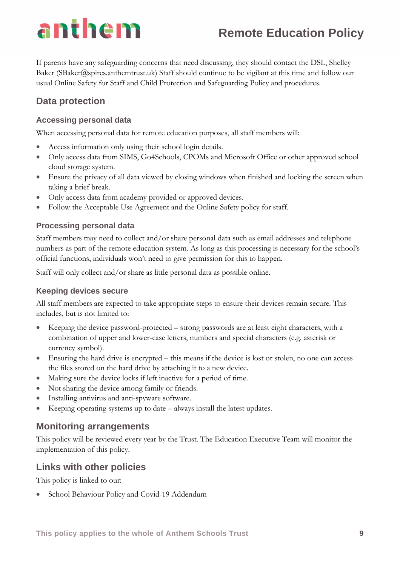# **Remote Education Policy**

If parents have any safeguarding concerns that need discussing, they should contact the DSL, Shelley Baker [\(SBaker@spires.anthemtrust.uk\)](mailto:SBaker@spires.anthemtrust.uk) Staff should continue to be vigilant at this time and follow our usual Online Safety for Staff and Child Protection and Safeguarding Policy and procedures.

## **Data protection**

#### **Accessing personal data**

When accessing personal data for remote education purposes, all staff members will:

- Access information only using their school login details.
- Only access data from SIMS, Go4Schools, CPOMs and Microsoft Office or other approved school cloud storage system.
- Ensure the privacy of all data viewed by closing windows when finished and locking the screen when taking a brief break.
- Only access data from academy provided or approved devices.
- Follow the Acceptable Use Agreement and the Online Safety policy for staff.

#### **Processing personal data**

Staff members may need to collect and/or share personal data such as email addresses and telephone numbers as part of the remote education system. As long as this processing is necessary for the school's official functions, individuals won't need to give permission for this to happen.

Staff will only collect and/or share as little personal data as possible online.

#### **Keeping devices secure**

All staff members are expected to take appropriate steps to ensure their devices remain secure. This includes, but is not limited to:

- Keeping the device password-protected strong passwords are at least eight characters, with a combination of upper and lower-case letters, numbers and special characters (e.g. asterisk or currency symbol).
- Ensuring the hard drive is encrypted this means if the device is lost or stolen, no one can access the files stored on the hard drive by attaching it to a new device.
- Making sure the device locks if left inactive for a period of time.
- Not sharing the device among family or friends.
- Installing antivirus and anti-spyware software.
- Keeping operating systems up to date always install the latest updates.

#### **Monitoring arrangements**

This policy will be reviewed every year by the Trust. The Education Executive Team will monitor the implementation of this policy.

### **Links with other policies**

This policy is linked to our:

• School Behaviour Policy and Covid-19 Addendum